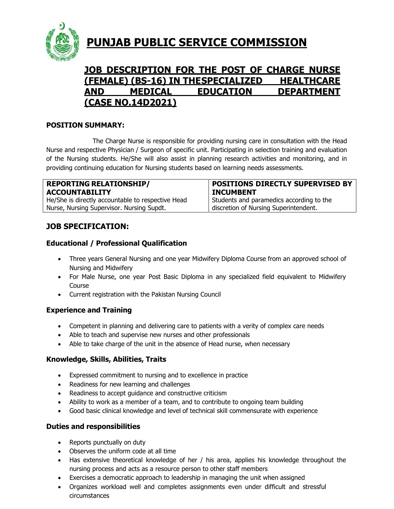

# **PUNJAB PUBLIC SERVICE COMMISSION**

# **JOB DESCRIPTION FOR THE POST OF CHARGE NURSE (FEMALE) (BS-16) IN THESPECIALIZED HEALTHCARE AND MEDICAL EDUCATION DEPARTMENT (CASE NO.14D2021)**

### **POSITION SUMMARY:**

The Charge Nurse is responsible for providing nursing care in consultation with the Head Nurse and respective Physician / Surgeon of specific unit. Participating in selection training and evaluation of the Nursing students. He/She will also assist in planning research activities and monitoring, and in providing continuing education for Nursing students based on learning needs assessments.

## **REPORTING RELATIONSHIP/ ACCOUNTABILITY**

He/She is directly accountable to respective Head Nurse, Nursing Supervisor. Nursing Supdt.

### **POSITIONS DIRECTLY SUPERVISED BY INCUMBENT**

Students and paramedics according to the discretion of Nursing Superintendent.

### **JOB SPECIFICATION:**

### **Educational / Professional Qualification**

- Three years General Nursing and one year Midwifery Diploma Course from an approved school of Nursing and Midwifery
- For Male Nurse, one year Post Basic Diploma in any specialized field equivalent to Midwifery Course
- Current registration with the Pakistan Nursing Council

### **Experience and Training**

- Competent in planning and delivering care to patients with a verity of complex care needs
- Able to teach and supervise new nurses and other professionals
- Able to take charge of the unit in the absence of Head nurse, when necessary

### **Knowledge, Skills, Abilities, Traits**

- Expressed commitment to nursing and to excellence in practice
- Readiness for new learning and challenges
- Readiness to accept quidance and constructive criticism
- Ability to work as a member of a team, and to contribute to ongoing team building
- Good basic clinical knowledge and level of technical skill commensurate with experience

### **Duties and responsibilities**

- Reports punctually on duty
- Observes the uniform code at all time
- Has extensive theoretical knowledge of her / his area, applies his knowledge throughout the nursing process and acts as a resource person to other staff members
- Exercises a democratic approach to leadership in managing the unit when assigned
- Organizes workload well and completes assignments even under difficult and stressful circumstances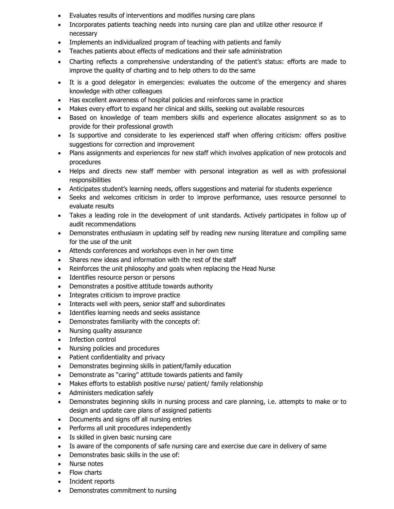- Evaluates results of interventions and modifies nursing care plans
- Incorporates patients teaching needs into nursing care plan and utilize other resource if necessary
- Implements an individualized program of teaching with patients and family
- Teaches patients about effects of medications and their safe administration
- Charting reflects a comprehensive understanding of the patient's status: efforts are made to improve the quality of charting and to help others to do the same
- It is a good delegator in emergencies: evaluates the outcome of the emergency and shares knowledge with other colleagues
- Has excellent awareness of hospital policies and reinforces same in practice
- Makes every effort to expand her clinical and skills, seeking out available resources
- Based on knowledge of team members skills and experience allocates assignment so as to provide for their professional growth
- Is supportive and considerate to les experienced staff when offering criticism: offers positive suggestions for correction and improvement
- Plans assignments and experiences for new staff which involves application of new protocols and procedures
- Helps and directs new staff member with personal integration as well as with professional responsibilities
- Anticipates student's learning needs, offers suggestions and material for students experience
- Seeks and welcomes criticism in order to improve performance, uses resource personnel to evaluate results
- Takes a leading role in the development of unit standards. Actively participates in follow up of audit recommendations
- Demonstrates enthusiasm in updating self by reading new nursing literature and compiling same for the use of the unit
- Attends conferences and workshops even in her own time
- Shares new ideas and information with the rest of the staff
- Reinforces the unit philosophy and goals when replacing the Head Nurse
- Identifies resource person or persons
- Demonstrates a positive attitude towards authority
- Integrates criticism to improve practice
- Interacts well with peers, senior staff and subordinates
- Identifies learning needs and seeks assistance
- Demonstrates familiarity with the concepts of:
- Nursing quality assurance
- Infection control
- Nursing policies and procedures
- Patient confidentiality and privacy
- Demonstrates beginning skills in patient/family education
- Demonstrate as "caring" attitude towards patients and family
- Makes efforts to establish positive nurse/ patient/ family relationship
- Administers medication safely
- Demonstrates beginning skills in nursing process and care planning, i.e. attempts to make or to design and update care plans of assigned patients
- Documents and signs off all nursing entries
- Performs all unit procedures independently
- Is skilled in given basic nursing care
- Is aware of the components of safe nursing care and exercise due care in delivery of same
- Demonstrates basic skills in the use of:
- Nurse notes
- Flow charts
- Incident reports
- Demonstrates commitment to nursing